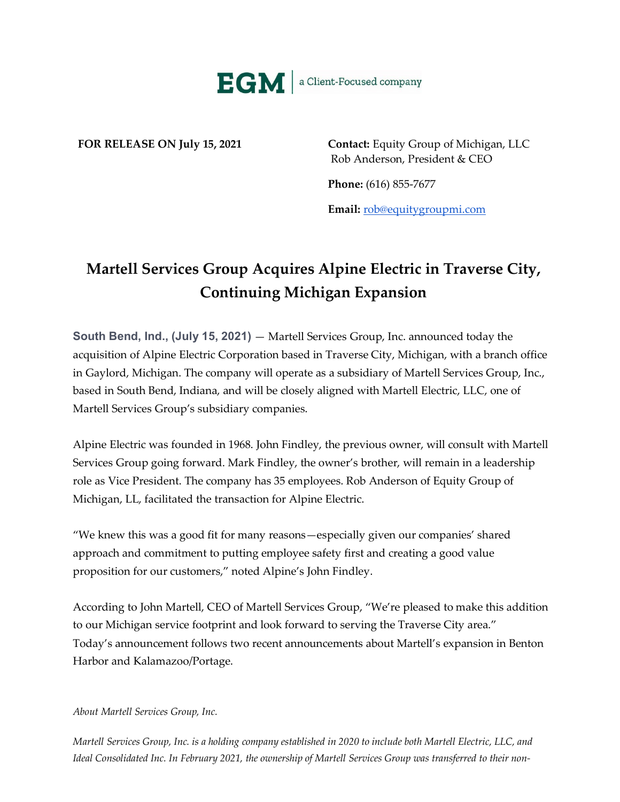

**FOR RELEASE ON July 15, 2021 Contact:** Equity Group of Michigan, LLC Rob Anderson, President & CEO

**Phone:** (616) 855-7677

**Email:** [rob@equitygroupmi.com](mailto:rob@equitygroupmi.com)

## **Martell Services Group Acquires Alpine Electric in Traverse City, Continuing Michigan Expansion**

**South Bend, Ind., (July 15, 2021)** — Martell Services Group, Inc. announced today the acquisition of Alpine Electric Corporation based in Traverse City, Michigan, with a branch office in Gaylord, Michigan. The company will operate as a subsidiary of Martell Services Group, Inc., based in South Bend, Indiana, and will be closely aligned with Martell Electric, LLC, one of Martell Services Group's subsidiary companies.

Alpine Electric was founded in 1968. John Findley, the previous owner, will consult with Martell Services Group going forward. Mark Findley, the owner's brother, will remain in a leadership role as Vice President. The company has 35 employees. Rob Anderson of Equity Group of Michigan, LL, facilitated the transaction for Alpine Electric.

"We knew this was a good fit for many reasons—especially given our companies' shared approach and commitment to putting employee safety first and creating a good value proposition for our customers," noted Alpine's John Findley.

According to John Martell, CEO of Martell Services Group, "We're pleased to make this addition to our Michigan service footprint and look forward to serving the Traverse City area." Today's announcement follows two recent announcements about Martell's expansion in Benton Harbor and Kalamazoo/Portage.

## *About Martell Services Group, Inc.*

*Martell Services Group, Inc. is a holding company established in 2020 to include both Martell Electric, LLC, and Ideal Consolidated Inc. In February 2021, the ownership of Martell Services Group was transferred to their non-*